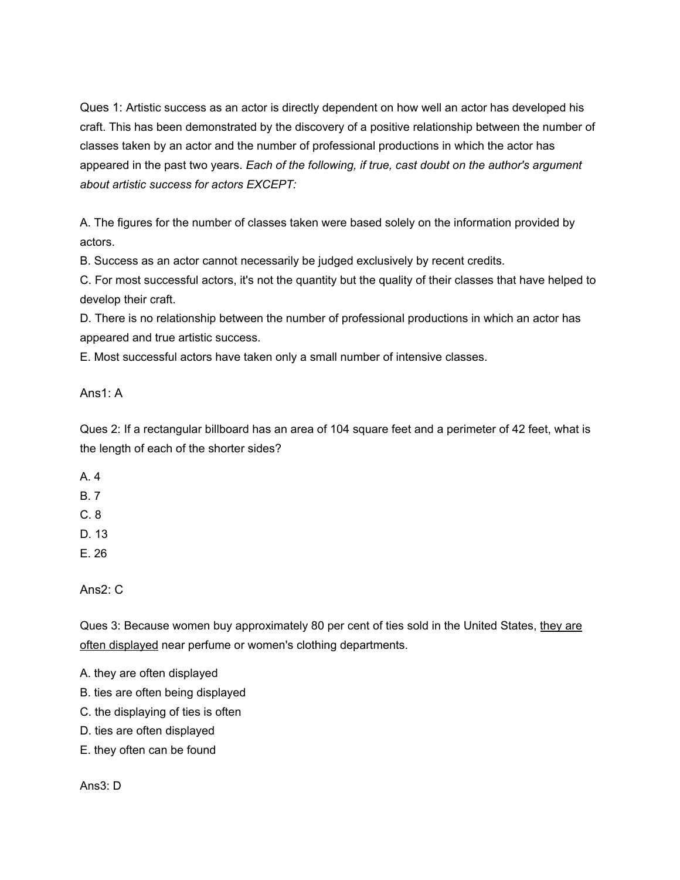Ques 1: Artistic success as an actor is directly dependent on how well an actor has developed his craft. This has been demonstrated by the discovery of a positive relationship between the number of classes taken by an actor and the number of professional productions in which the actor has appeared in the past two years. *Each of the following, if true, cast doubt on the author's argument about artistic success for actors EXCEPT:*

A. The figures for the number of classes taken were based solely on the information provided by actors.

B. Success as an actor cannot necessarily be judged exclusively by recent credits.

C. For most successful actors, it's not the quantity but the quality of their classes that have helped to develop their craft.

D. There is no relationship between the number of professional productions in which an actor has appeared and true artistic success.

E. Most successful actors have taken only a small number of intensive classes.

Ans1: A

Ques 2: If a rectangular billboard has an area of 104 square feet and a perimeter of 42 feet, what is the length of each of the shorter sides?

A. 4

B. 7

- C. 8
- D. 13

E. 26

Ans2: C

Ques 3: Because women buy approximately 80 per cent of ties sold in the United States, they are often displayed near perfume or women's clothing departments.

A. they are often displayed

- B. ties are often being displayed
- C. the displaying of ties is often
- D. ties are often displayed
- E. they often can be found

Ans3: D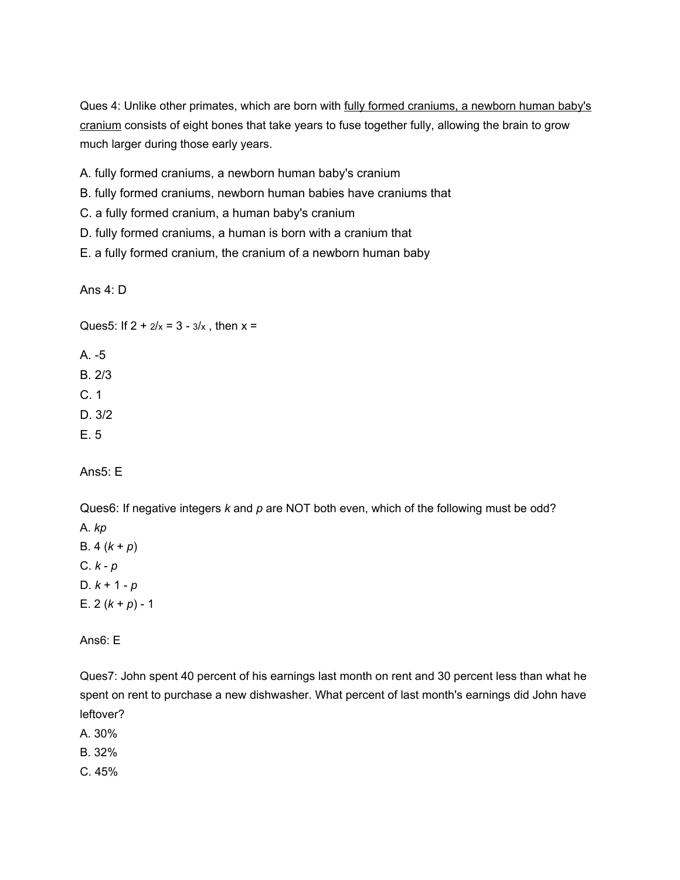Ques 4: Unlike other primates, which are born with fully formed craniums, a newborn human baby's cranium consists of eight bones that take years to fuse together fully, allowing the brain to grow much larger during those early years.

A. fully formed craniums, a newborn human baby's cranium

B. fully formed craniums, newborn human babies have craniums that

- C. a fully formed cranium, a human baby's cranium
- D. fully formed craniums, a human is born with a cranium that
- E. a fully formed cranium, the cranium of a newborn human baby

Ans 4: D

Ques5: If  $2 + \frac{2}{x} = 3 - \frac{3}{x}$ , then  $x =$ 

A. -5 B. 2/3

C. 1 D. 3/2

E. 5

Ans5: E

Ques6: If negative integers *k* and *p* are NOT both even, which of the following must be odd?

A. *kp* B.  $4(k + p)$ C. *k* - *p* D. *k* + 1 - *p* E.  $2 (k + p) - 1$ 

Ans6: E

Ques7: John spent 40 percent of his earnings last month on rent and 30 percent less than what he spent on rent to purchase a new dishwasher. What percent of last month's earnings did John have leftover?

A. 30%

B. 32%

C. 45%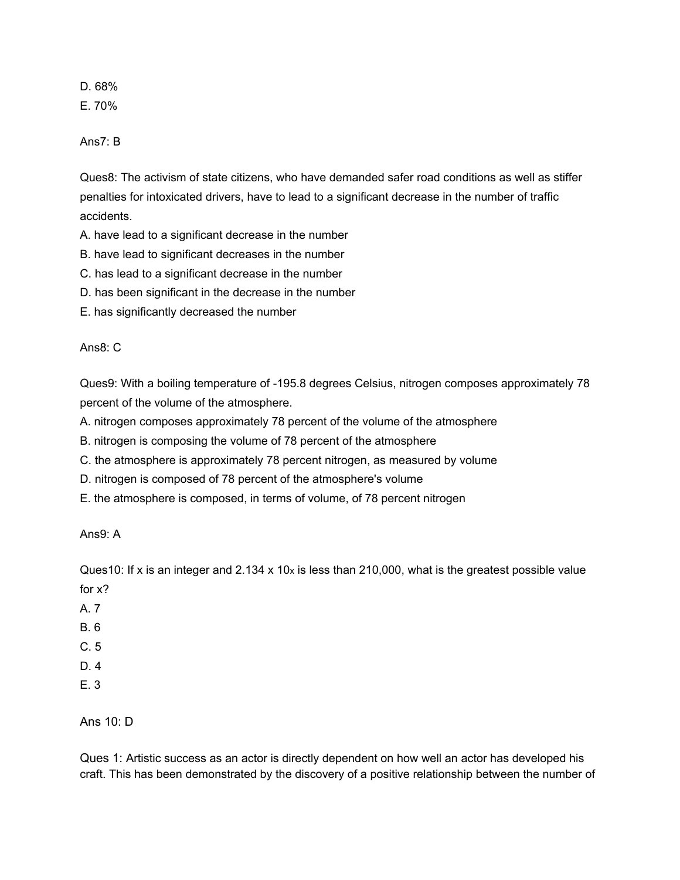D. 68% E. 70%

Ans7: B

Ques8: The activism of state citizens, who have demanded safer road conditions as well as stiffer penalties for intoxicated drivers, have to lead to a significant decrease in the number of traffic accidents.

A. have lead to a significant decrease in the number

B. have lead to significant decreases in the number

C. has lead to a significant decrease in the number

D. has been significant in the decrease in the number

E. has significantly decreased the number

Ans8: C

Ques9: With a boiling temperature of -195.8 degrees Celsius, nitrogen composes approximately 78 percent of the volume of the atmosphere.

A. nitrogen composes approximately 78 percent of the volume of the atmosphere

B. nitrogen is composing the volume of 78 percent of the atmosphere

C. the atmosphere is approximately 78 percent nitrogen, as measured by volume

D. nitrogen is composed of 78 percent of the atmosphere's volume

E. the atmosphere is composed, in terms of volume, of 78 percent nitrogen

Ans9: A

Ques10: If x is an integer and  $2.134 \times 10x$  is less than 210,000, what is the greatest possible value for x?

A. 7

B. 6

C. 5

D. 4

E. 3

Ans 10: D

Ques 1: Artistic success as an actor is directly dependent on how well an actor has developed his craft. This has been demonstrated by the discovery of a positive relationship between the number of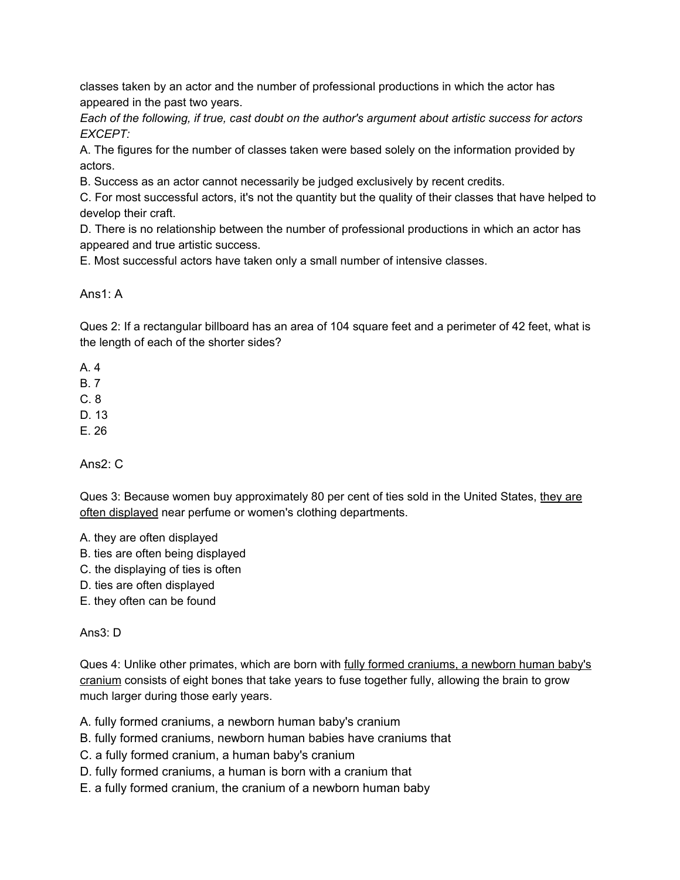classes taken by an actor and the number of professional productions in which the actor has appeared in the past two years.

*Each of the following, if true, cast doubt on the author's argument about artistic success for actors EXCEPT:*

A. The figures for the number of classes taken were based solely on the information provided by actors.

B. Success as an actor cannot necessarily be judged exclusively by recent credits.

C. For most successful actors, it's not the quantity but the quality of their classes that have helped to develop their craft.

D. There is no relationship between the number of professional productions in which an actor has appeared and true artistic success.

E. Most successful actors have taken only a small number of intensive classes.

Ans1: A

Ques 2: If a rectangular billboard has an area of 104 square feet and a perimeter of 42 feet, what is the length of each of the shorter sides?

A. 4

B. 7

C. 8

D. 13

E. 26

Ans2: C

Ques 3: Because women buy approximately 80 per cent of ties sold in the United States, they are often displayed near perfume or women's clothing departments.

A. they are often displayed

B. ties are often being displayed

C. the displaying of ties is often

D. ties are often displayed

E. they often can be found

Ans3: D

Ques 4: Unlike other primates, which are born with fully formed craniums, a newborn human baby's cranium consists of eight bones that take years to fuse together fully, allowing the brain to grow much larger during those early years.

A. fully formed craniums, a newborn human baby's cranium

B. fully formed craniums, newborn human babies have craniums that

C. a fully formed cranium, a human baby's cranium

D. fully formed craniums, a human is born with a cranium that

E. a fully formed cranium, the cranium of a newborn human baby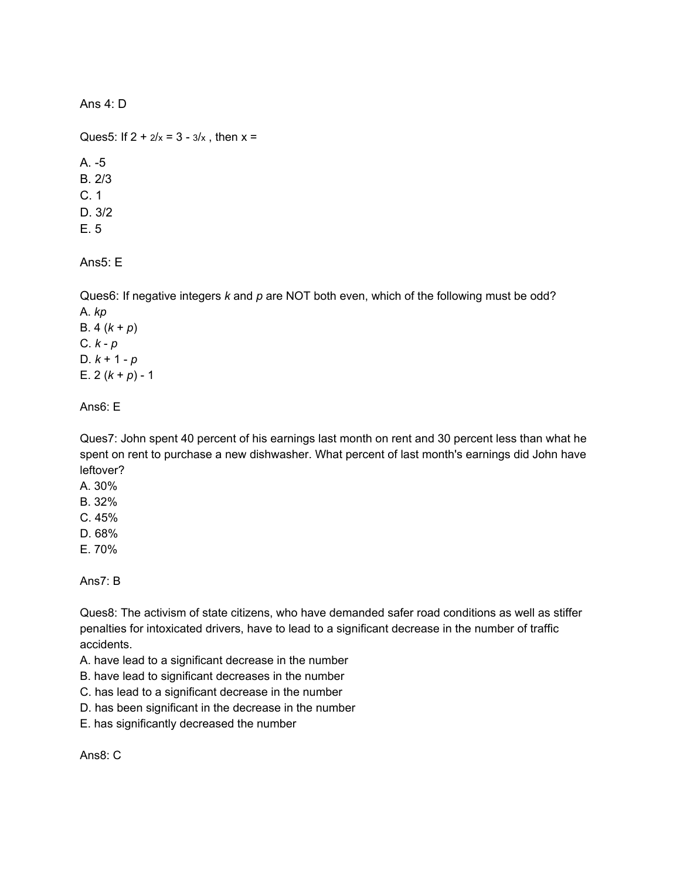Ans 4: D

Ques5: If  $2 + \frac{2}{x} = 3 - \frac{3}{x}$ , then  $x =$ A. -5 B. 2/3 C. 1 D. 3/2 E. 5

Ans5: E

Ques6: If negative integers *k* and *p* are NOT both even, which of the following must be odd? A. *kp* B. 4 (*k* + *p*) C. *k* - *p* D. *k* + 1 - *p* E.  $2 (k + p) - 1$ 

Ans6: E

Ques7: John spent 40 percent of his earnings last month on rent and 30 percent less than what he spent on rent to purchase a new dishwasher. What percent of last month's earnings did John have leftover?

- A. 30%
- B. 32%
- C. 45%
- D. 68%
- E. 70%

Ans7: B

Ques8: The activism of state citizens, who have demanded safer road conditions as well as stiffer penalties for intoxicated drivers, have to lead to a significant decrease in the number of traffic accidents.

- A. have lead to a significant decrease in the number
- B. have lead to significant decreases in the number
- C. has lead to a significant decrease in the number
- D. has been significant in the decrease in the number
- E. has significantly decreased the number

Ans8: C